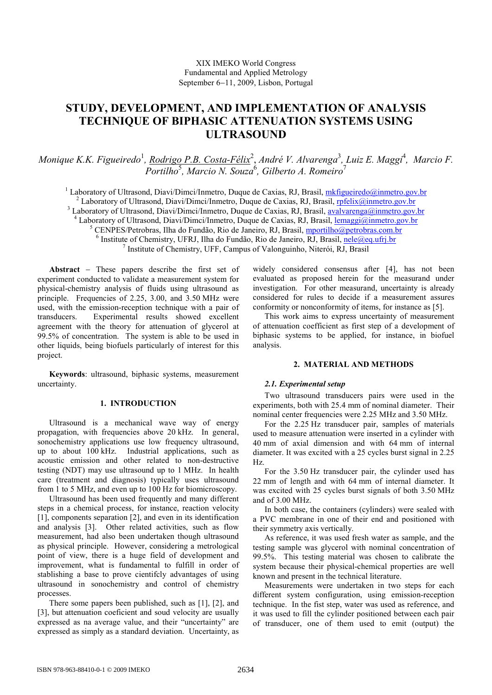# **STUDY, DEVELOPMENT, AND IMPLEMENTATION OF ANALYSIS TECHNIQUE OF BIPHASIC ATTENUATION SYSTEMS USING ULTRASOUND**

Monique K.K. Figueiredo<sup>1</sup>, <u>Rodrigo P.B. Costa-Félix</u><sup>2</sup>, André V. Alvarenga<sup>3</sup>, Luiz E. Maggi<sup>4</sup>, Marcio F. Portilho<sup>5</sup>, Marcio N. Souza<sup>6</sup>, Gilberto A. Romeiro<sup>7</sup>

<sup>1</sup> Laboratory of Ultrasond, Diavi/Dimci/Inmetro, Duque de Caxias, RJ, Brasil, *mkfigueiredo@inmetro.gov.br* <sup>2</sup> Laboratory of Ultrasond, Diavi/Dimci/Inmetro, Duque de Caxias, RJ, Brasil, *rpfelix@inmetro.gov.br* <sup>3</sup> Laboratory of Ultrasond, Diavi/Dimci/Inmetro, Duque de Caxias, RJ, Brasil, avalvarenga@inmetro.gov.br <sup>4</sup> Laboratory of Ultrasond, Diavi/Dimci/Inmetro, Duque de Caxias, RJ, Brasil, lemaggi@inmetro.gov.br 5 CENPES/Petrobras, Ilha do Fundão, Rio de Janeiro, RJ, Brasil, mportilho@petrobras.com.br <sup>6</sup> Institute of Chemistry, UFRJ, Ilha do Fundão, Rio de Janeiro, RJ, Brasil, nele@eq.ufrj.br 7 Institute of Chemistry, UFF, Campus of Valonguinho, Niterói, RJ, Brasil

**Abstract** − These papers describe the first set of experiment conducted to validate a measurement system for physical-chemistry analysis of fluids using ultrasound as principle. Frequencies of 2.25, 3.00, and 3.50 MHz were used, with the emission-reception technique with a pair of transducers. Experimental results showed excellent agreement with the theory for attenuation of glycerol at 99.5% of concentration. The system is able to be used in other liquids, being biofuels particularly of interest for this project.

**Keywords**: ultrasound, biphasic systems, measurement uncertainty.

# **1. INTRODUCTION**

Ultrasound is a mechanical wave way of energy propagation, with frequencies above 20 kHz. In general, sonochemistry applications use low frequency ultrasound, up to about 100 kHz. Industrial applications, such as acoustic emission and other related to non-destructive testing (NDT) may use ultrasound up to 1 MHz. In health care (treatment and diagnosis) typically uses ultrasound from 1 to 5 MHz, and even up to 100 Hz for biomicroscopy.

Ultrasound has been used frequently and many different steps in a chemical process, for instance, reaction velocity [1], components separation [2], and even in its identification and analysis [3]. Other related activities, such as flow measurement, had also been undertaken though ultrasound as physical principle. However, considering a metrological point of view, there is a huge field of development and improvement, what is fundamental to fulfill in order of stablishing a base to prove cientifcly advantages of using ultrasound in sonochemistry and control of chemistry processes.

There some papers been published, such as [1], [2], and [3], but attenuation coeficient and soud velocity are usually expressed as na average value, and their "uncertainty" are expressed as simply as a standard deviation. Uncertainty, as

widely considered consensus after [4], has not been evaluated as proposed herein for the measurand under investigation. For other measurand, uncertainty is already considered for rules to decide if a measurement assures conformity or nonconformity of items, for instance as [5].

This work aims to express uncertainty of measurement of attenuation coefficient as first step of a development of biphasic systems to be applied, for instance, in biofuel analysis.

## **2. MATERIAL AND METHODS**

## *2.1. Experimental setup*

Two ultrasound transducers pairs were used in the experiments, both with 25.4 mm of nominal diameter. Their nominal center frequencies were 2.25 MHz and 3.50 MHz.

For the 2.25 Hz transducer pair, samples of materials used to measure attenuation were inserted in a cylinder with 40 mm of axial dimension and with 64 mm of internal diameter. It was excited with a 25 cycles burst signal in 2.25 Hz.

For the 3.50 Hz transducer pair, the cylinder used has 22 mm of length and with 64 mm of internal diameter. It was excited with 25 cycles burst signals of both 3.50 MHz and of 3.00 MHz.

In both case, the containers (cylinders) were sealed with a PVC membrane in one of their end and positioned with their symmetry axis vertically.

As reference, it was used fresh water as sample, and the testing sample was glycerol with nominal concentration of 99.5%. This testing material was chosen to calibrate the system because their physical-chemical properties are well known and present in the technical literature.

Measurements were undertaken in two steps for each different system configuration, using emission-reception technique. In the fist step, water was used as reference, and it was used to fill the cylinder positioned between each pair of transducer, one of them used to emit (output) the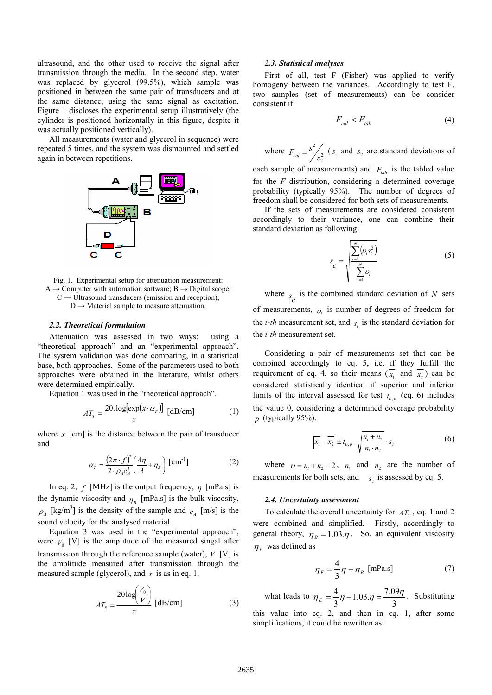ultrasound, and the other used to receive the signal after transmission through the media. In the second step, water was replaced by glycerol (99.5%), which sample was positioned in between the same pair of transducers and at the same distance, using the same signal as excitation. Figure 1 discloses the experimental setup illustratively (the cylinder is positioned horizontally in this figure, despite it was actually positioned vertically).

All measurements (water and glycerol in sequence) were repeated 5 times, and the system was dismounted and settled again in between repetitions.



Fig. 1. Experimental setup for attenuation measurement: A  $\rightarrow$  Computer with automation software; B  $\rightarrow$  Digital scope;  $C \rightarrow$  Ultrasound transducers (emission and reception);

 $D \rightarrow$  Material sample to measure attenuation.

#### *2.2. Theoretical formulation*

Attenuation was assessed in two ways: using a "theoretical approach" and an "experimental approach". The system validation was done comparing, in a statistical base, both approaches. Some of the parameters used to both approaches were obtained in the literature, whilst others were determined empirically.

Equation 1 was used in the "theoretical approach".

$$
AT_{T} = \frac{20.\log[\exp(x \cdot \alpha_{T})]}{x} \text{ [dB/cm]} \tag{1}
$$

where  $x$  [cm] is the distance between the pair of transducer and

$$
\alpha_{T} = \frac{\left(2\pi \cdot f\right)^{2}}{2 \cdot \rho_{A} c_{A}^{3}} \left(\frac{4\eta}{3} + \eta_{B}\right) \text{[cm}^{-1}\text{]}
$$
 (2)

In eq. 2,  $f$  [MHz] is the output frequency,  $\eta$  [mPa.s] is the dynamic viscosity and  $\eta_B$  [mPa.s] is the bulk viscosity,  $\rho_A$  [kg/m<sup>3</sup>] is the density of the sample and  $c_A$  [m/s] is the sound velocity for the analysed material.

Equation 3 was used in the "experimental approach", were  $V_0$  [V] is the amplitude of the measured singal after transmission through the reference sample (water), *V* [V] is the amplitude measured after transmission through the measured sample (glycerol), and *x* is as in eq. 1.

$$
AT_E = \frac{20\log\left(\frac{V_0}{V}\right)}{x} \text{ [dB/cm]} \tag{3}
$$

#### *2.3. Statistical analyses*

First of all, test F (Fisher) was applied to verify homogeny between the variances. Accordingly to test F, two samples (set of measurements) can be consider consistent if

$$
F_{cal} < F_{tab} \tag{4}
$$

where  $F_{cal} = \frac{S_1}{S_2^2}$  $\frac{1}{s^2}$  $F_{cal} = \frac{s_1^2}{s_2^2}$  ( $s_1$  and  $s_2$  are standard deviations of

each sample of measurements) and  $F_{ab}$  is the tabled value for the *F* distribution, considering a determined coverage probability (typically 95%). The number of degrees of freedom shall be considered for both sets of measurements.

If the sets of measurements are considered consistent accordingly to their variance, one can combine their standard deviation as following:

$$
s_C = \sqrt{\frac{\sum_{i=1}^{N} (\nu_i s_i^2)}{\sum_{i=1}^{N} \nu_i}}
$$
 (5)

where  $s_c$  is the combined standard deviation of *N* sets of measurements, <sup>υ</sup>*<sup>i</sup>* is number of degrees of freedom for the *i-th* measurement set, and  $s_i$  is the standard deviation for the *i-th* measurement set.

Considering a pair of measurements set that can be combined accordingly to eq. 5, i.e, if they fulfill the requirement of eq. 4, so their means  $(x_1$  and  $x_2$ ) can be considered statistically identical if superior and inferior limits of the interval assessed for test  $t_{v,p}$  (eq. 6) includes the value 0, considering a determined coverage probability *p* (typically 95%).

$$
\left|\overline{x_1} - \overline{x_2}\right| \pm t_{\nu, p} \cdot \sqrt{\frac{n_i + n_2}{n_i \cdot n_2}} \cdot s_c \tag{6}
$$

where  $v = n_i + n_2 - 2$ ,  $n_i$  and  $n_2$  are the number of measurements for both sets, and  $s_c$  is assessed by eq. 5.

#### *2.4. Uncertainty assessment*

To calculate the overall uncertainty for  $AT<sub>T</sub>$ , eq. 1 and 2 were combined and simplified. Firstly, accordingly to general theory,  $\eta_B = 1.03 \eta$ . So, an equivalent viscosity  $\eta_E$  was defined as

$$
\eta_E = \frac{4}{3}\eta + \eta_B \text{ [mPa.s]}
$$
 (7)

what leads to 3  $1.03.\eta = \frac{7.09}{2}$ 3  $\eta_E = \frac{4}{3} \eta + 1.03 \eta = \frac{7.09 \eta}{3}$ . Substituting this value into eq. 2, and then in eq. 1, after some simplifications, it could be rewritten as: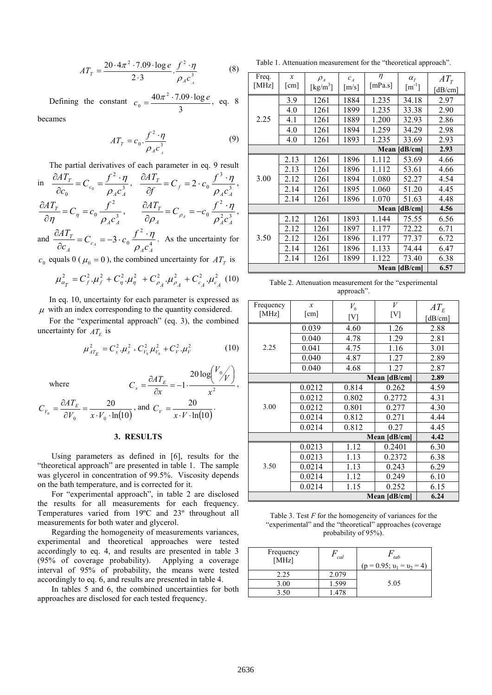$$
AT_{T} = \frac{20 \cdot 4\pi^{2} \cdot 7.09 \cdot \log e}{2 \cdot 3} \cdot \frac{f^{2} \cdot \eta}{\rho_{A} c_{A}^{3}}
$$
(8)

Defining the constant 3  $40\pi^2 \cdot 7.09 \cdot \log$  $\boldsymbol{0}$  $c_0 = \frac{40\pi^2 \cdot 7.09 \cdot \log e}{2}$ , eq. 8 becames

$$
AT_r = c_0 \cdot \frac{f^2 \cdot \eta}{\rho_A c_A^3} \tag{9}
$$

The partial derivatives of each parameter in eq. 9 result 3

in 
$$
\frac{\partial AT_T}{\partial c_0} = C_{c_0} = \frac{f^2 \cdot \eta}{\rho_A c_A^3}
$$
,  $\frac{\partial AT_T}{\partial f} = C_f = 2 \cdot c_0 \frac{f^3 \cdot \eta}{\rho_A c_A^3}$ ,  
\n $\frac{\partial AT_T}{\partial \eta} = C_{\eta} = c_0 \frac{f^2}{\rho_A c_A^3}$ ,  $\frac{\partial AT_T}{\partial \rho_A} = C_{\rho_A} = -c_0 \frac{f^2 \cdot \eta}{\rho_A^2 c_A^3}$ ,  
\nand  $\frac{\partial AT_T}{\partial f} = C_{c_0} = -3 \cdot c_0 \frac{f^2 \cdot \eta}{\rho_A^2 c_A^3}$ . As the uncertainty for

 $3 \cdot c_0 \frac{J}{\sqrt{2}}$ *A A c A c*  $C_{c} = -3 \cdot c$  $c_{\scriptscriptstyle A}$  *c*<sub>*A*</sub> *c*<sub>*A*</sub> *c*<sub>*A*</sub> *c*<sub>*A*</sub> ∂

 $c_0$  equals 0 ( $\mu_0 = 0$ ), the combined uncertainty for  $AT_T$  is

$$
\mu_{\alpha_T}^2 = C_f^2 \cdot \mu_f^2 + C_\eta^2 \cdot \mu_\eta^2 + C_{\rho_A}^2 \cdot \mu_{\rho_A}^2 + C_{c_A}^2 \cdot \mu_{c_A}^2
$$
 (10)

In eq. 10, uncertainty for each parameter is expressed as  $\mu$  with an index corresponding to the quantity considered.

For the "experimental approach" (eq. 3), the combined uncertainty for  $AT_E$  is

$$
\mu_{A_{E}}^{2} = C_{x}^{2} \cdot \mu_{x}^{2} + C_{V_{0}}^{2} \mu_{V_{0}}^{2} + C_{V}^{2} \cdot \mu_{V}^{2}
$$
 (10)

2

*V V*

 $\int$  $\begin{pmatrix} V_0 \ \gamma V \end{pmatrix}$ ſ

 $20 \log^{10}$ 

1

 $=\frac{\partial AT_E}{\partial T}=-1\cdot\frac{20108}{T},$ 

 $=-1$ 

where

*x x* ∂  $\overline{\ln (10)}$ 20  $\circ$   $\partial V_0$   $x \cdot V_0$ . = ∂  $=\frac{\partial}{\partial x}$  $V_0$   $x \cdot V$  $C_{V_0} = \frac{\partial AT_E}{\partial V_0} = \frac{20}{x \cdot V_0 \cdot \ln(10)},$  and  $C_V = \frac{20}{x \cdot V \cdot \ln(10)}$ . 20  $\cdot V \cdot$ =  $C_V = \frac{20}{x \cdot V \cdot \ln(10)}$ .

## **3. RESULTS**

 $C_x = \frac{\partial AT_E}{\partial x}$ 

Using parameters as defined in [6], results for the "theoretical approach" are presented in table 1. The sample was glycerol in concentration of 99.5%. Viscosity depends on the bath temperature, and is corrected for it.

For "experimental approach", in table 2 are disclosed the results for all measurements for each frequency. Temperatures varied from 19ºC and 23º throughout all measurements for both water and glycerol.

Regarding the homogeneity of measurements variances, experimental and theoretical approaches were tested accordingly to eq. 4, and results are presented in table 3 (95% of coverage probability). Applying a coverage interval of 95% of probability, the means were tested accordingly to eq. 6, and results are presented in table 4.

In tables 5 and 6, the combined uncertainties for both approaches are disclosed for each tested frequency.

Table 1. Attenuation measurement for the "theoretical approach".

| Freq.<br>[MHz]  | $\mathcal{X}$<br>$\lceil$ cm $\rceil$ | $\rho_{_A}$<br>$\left[\mathrm{kg/m^3}\right]$ | $c_{\scriptscriptstyle A}$<br>$\lceil m/s \rceil$ | $\eta$<br>[ $mPa.s$ ] | $\alpha_r$<br>$\lceil m^{-1} \rceil$ | $AT_r$<br>[dB/cm] |
|-----------------|---------------------------------------|-----------------------------------------------|---------------------------------------------------|-----------------------|--------------------------------------|-------------------|
| 2.25            | 3.9                                   | 1261                                          | 1884                                              | 1.235                 | 34.18                                | 2.97              |
|                 | 4.0                                   | 1261                                          | 1899                                              | 1.235                 | 33.38                                | 2.90              |
|                 | 4.1                                   | 1261                                          | 1889                                              | 1.200                 | 32.93                                | 2.86              |
|                 | 4.0                                   | 1261                                          | 1894                                              | 1.259                 | 34.29                                | 2.98              |
|                 | 4.0                                   | 1261                                          | 1893                                              | 1.235                 | 33.69                                | 2.93              |
| Mean<br>[dB/cm] |                                       |                                               |                                                   |                       | 2.93                                 |                   |
| 3.00            | 2.13                                  | 1261                                          | 1896                                              | 1.112                 | 53.69                                | 4.66              |
|                 | 2.13                                  | 1261                                          | 1896                                              | 1.112                 | 53.61                                | 4.66              |
|                 | 2.12                                  | 1261                                          | 1894                                              | 1.080                 | 52.27                                | 4.54              |
|                 | 2.14                                  | 1261                                          | 1895                                              | 1.060                 | 51.20                                | 4.45              |
|                 | 2.14                                  | 1261                                          | 1896                                              | 1.070                 | 51.63                                | 4.48              |
| Mean [dB/cm]    |                                       |                                               |                                                   |                       | 4.56                                 |                   |
| 3.50            | 2.12                                  | 1261                                          | 1893                                              | 1.144                 | 75.55                                | 6.56              |
|                 | 2.12                                  | 1261                                          | 1897                                              | 1.177                 | 72.22                                | 6.71              |
|                 | 2.12                                  | 1261                                          | 1896                                              | 1.177                 | 77.37                                | 6.72              |
|                 | 2.14                                  | 1261                                          | 1896                                              | 1.133                 | 74.44                                | 6.47              |
|                 | 2.14                                  | 1261                                          | 1899                                              | 1.122                 | 73.40                                | 6.38              |
| Mean [dB/cm]    |                                       |                                               |                                                   |                       | 6.57                                 |                   |

| Table 2. Attenuation measurement for the "experimental" |  |
|---------------------------------------------------------|--|
| approach".                                              |  |

| Frequency            | $\mathcal{X}$        | $V_{0}$ | V      | $AT_E$  |
|----------------------|----------------------|---------|--------|---------|
| [ $MHz$ ]            | $\lceil$ cm $\rceil$ | [V]     | [V]    | [dB/cm] |
|                      | 0.039                | 4.60    | 1.26   | 2.88    |
|                      | 0.040                | 4.78    | 1.29   | 2.81    |
| 2.25                 | 0.041                | 4.75    | 1.16   | 3.01    |
|                      | 0.040                | 4.87    | 1.27   | 2.89    |
|                      | 0.040                | 4.68    | 1.27   | 2.87    |
| Mean [dB/cm]         |                      |         | 2.89   |         |
| 3.00                 | 0.0212               | 0.814   | 0.262  | 4.59    |
|                      | 0.0212               | 0.802   | 0.2772 | 4.31    |
|                      | 0.0212               | 0.801   | 0.277  | 4.30    |
|                      | 0.0214               | 0.812   | 0.271  | 4.44    |
|                      | 0.0214               | 0.812   | 0.27   | 4.45    |
|                      | 4.42                 |         |        |         |
|                      | 0.0213               | 1.12    | 0.2401 | 6.30    |
| 3.50                 | 0.0213               | 1.13    | 0.2372 | 6.38    |
|                      | 0.0214               | 1.13    | 0.243  | 6.29    |
|                      | 0.0214               | 1.12    | 0.249  | 6.10    |
|                      | 0.0214               | 1.15    | 0.252  | 6.15    |
| 6.24<br>Mean [dB/cm] |                      |         |        |         |

Table 3. Test *F* for the homogeneity of variances for the "experimental" and the "theoretical" approaches (coverage probability of 95%).

| Frequency<br>[MHz] | cal   | tab<br>$(p = 0.95; v_1 = v_2 = 4)$ |
|--------------------|-------|------------------------------------|
| 2.25               | 2.079 |                                    |
| 3.00               | 1.599 | 5.05                               |
| 3.50               | -478  |                                    |